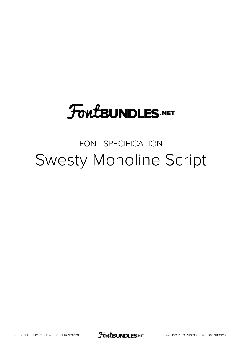## **FoutBUNDLES.NET**

## FONT SPECIFICATION Swesty Monoline Script

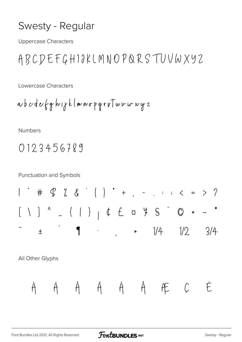## Swesty - Regular

**Uppercase Characters** 

ABCDEFGHIOKLMNOPQRSTUVWXYZ

Lowercase Characters

**Numbers** 

0123456789

**Punctuation and Symbols** 

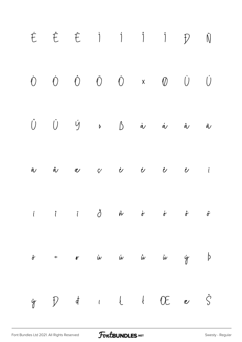